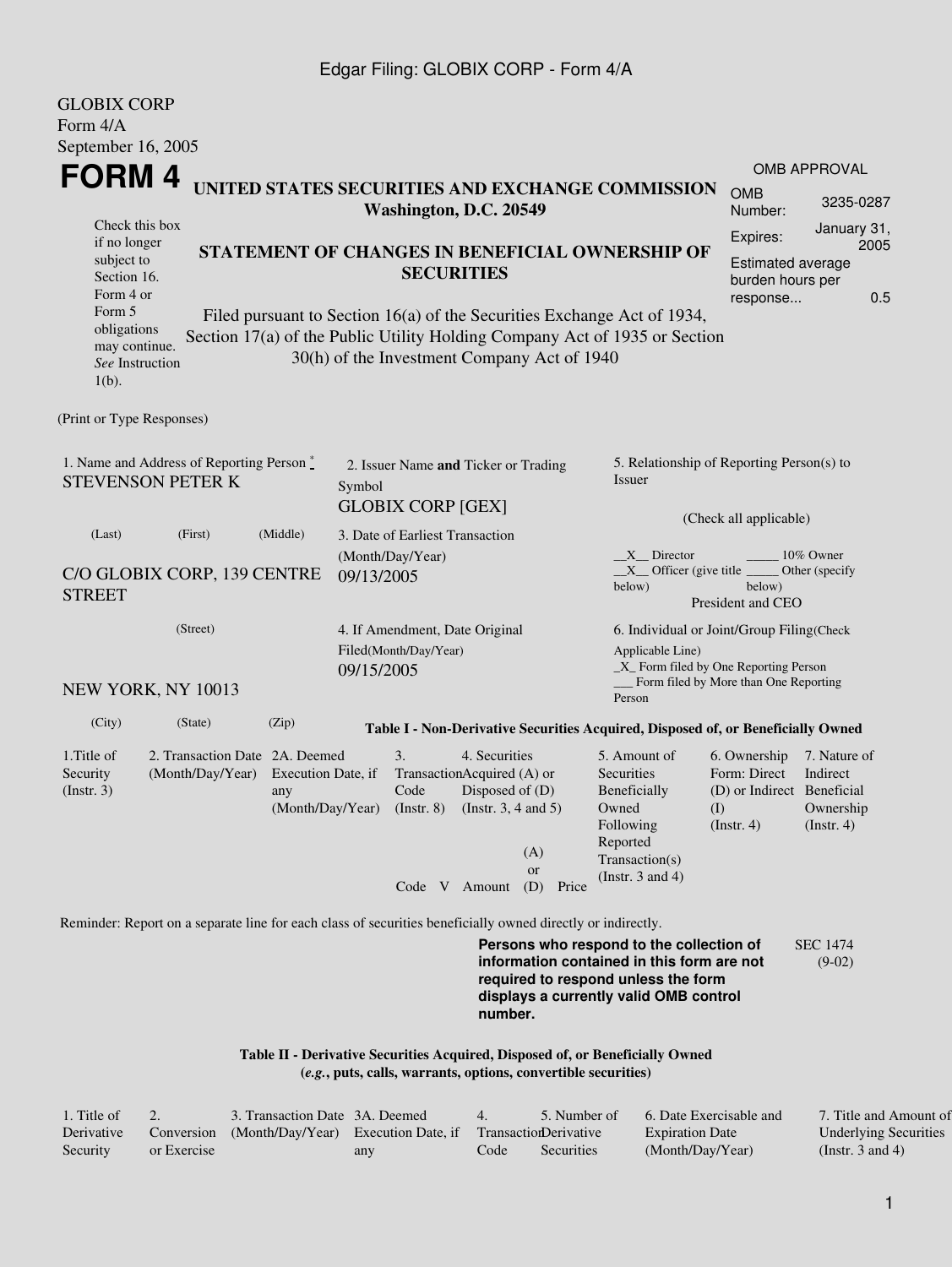### Edgar Filing: GLOBIX CORP - Form 4/A

| <b>GLOBIX CORP</b><br>Form 4/A                                                |                                                                                                                                                                                                                                                                                                                                                                                                                                                 |                                               |        |                                                                                       |                                                         |                                  |                                                                                                                                        |                                                                                                                              |                                                                                        |  |
|-------------------------------------------------------------------------------|-------------------------------------------------------------------------------------------------------------------------------------------------------------------------------------------------------------------------------------------------------------------------------------------------------------------------------------------------------------------------------------------------------------------------------------------------|-----------------------------------------------|--------|---------------------------------------------------------------------------------------|---------------------------------------------------------|----------------------------------|----------------------------------------------------------------------------------------------------------------------------------------|------------------------------------------------------------------------------------------------------------------------------|----------------------------------------------------------------------------------------|--|
| September 16, 2005                                                            |                                                                                                                                                                                                                                                                                                                                                                                                                                                 |                                               |        |                                                                                       |                                                         |                                  |                                                                                                                                        |                                                                                                                              |                                                                                        |  |
| FORM 4                                                                        | UNITED STATES SECURITIES AND EXCHANGE COMMISSION<br><b>OMB</b><br>Number:                                                                                                                                                                                                                                                                                                                                                                       | <b>OMB APPROVAL</b><br>3235-0287              |        |                                                                                       |                                                         |                                  |                                                                                                                                        |                                                                                                                              |                                                                                        |  |
| $1(b)$ .<br>(Print or Type Responses)                                         | Washington, D.C. 20549<br>Check this box<br>if no longer<br>STATEMENT OF CHANGES IN BENEFICIAL OWNERSHIP OF<br>subject to<br><b>SECURITIES</b><br>Section 16.<br>Form 4 or<br>Form 5<br>Filed pursuant to Section 16(a) of the Securities Exchange Act of 1934,<br>obligations<br>Section 17(a) of the Public Utility Holding Company Act of 1935 or Section<br>may continue.<br>30(h) of the Investment Company Act of 1940<br>See Instruction |                                               |        |                                                                                       |                                                         |                                  |                                                                                                                                        |                                                                                                                              | January 31,<br>2005<br><b>Estimated average</b><br>burden hours per<br>0.5<br>response |  |
|                                                                               | 1. Name and Address of Reporting Person*<br><b>STEVENSON PETER K</b>                                                                                                                                                                                                                                                                                                                                                                            |                                               | Symbol | 2. Issuer Name and Ticker or Trading<br><b>GLOBIX CORP [GEX]</b>                      |                                                         |                                  | Issuer                                                                                                                                 | 5. Relationship of Reporting Person(s) to<br>(Check all applicable)                                                          |                                                                                        |  |
| (Middle)<br>(Last)<br>(First)<br>C/O GLOBIX CORP, 139 CENTRE<br><b>STREET</b> |                                                                                                                                                                                                                                                                                                                                                                                                                                                 |                                               |        | 3. Date of Earliest Transaction<br>(Month/Day/Year)<br>09/13/2005                     |                                                         |                                  | X Director<br>10% Owner<br>$X$ Officer (give title $\overline{\phantom{a}}$<br>Other (specify<br>below)<br>below)<br>President and CEO |                                                                                                                              |                                                                                        |  |
| (Street)<br>09/15/2005<br>NEW YORK, NY 10013                                  |                                                                                                                                                                                                                                                                                                                                                                                                                                                 |                                               |        | 4. If Amendment, Date Original<br>Filed(Month/Day/Year)<br>Applicable Line)<br>Person |                                                         |                                  |                                                                                                                                        | 6. Individual or Joint/Group Filing(Check<br>_X_ Form filed by One Reporting Person<br>Form filed by More than One Reporting |                                                                                        |  |
| (City)                                                                        | (State)                                                                                                                                                                                                                                                                                                                                                                                                                                         | (Zip)                                         |        |                                                                                       |                                                         |                                  | Table I - Non-Derivative Securities Acquired, Disposed of, or Beneficially Owned                                                       |                                                                                                                              |                                                                                        |  |
| 1. Title of<br>Security<br>(Insert. 3)                                        | 2. Transaction Date 2A. Deemed<br>(Month/Day/Year)                                                                                                                                                                                                                                                                                                                                                                                              | Execution Date, if<br>any<br>(Month/Day/Year) |        | 3.<br>TransactionAcquired (A) or<br>Code<br>$($ Instr. $8)$<br>Code V Amount          | 4. Securities<br>Disposed of (D)<br>(Instr. 3, 4 and 5) | (A)<br><b>or</b><br>(D)<br>Price | 5. Amount of<br>Securities<br>Beneficially<br>Owned<br>Following<br>Reported<br>Transaction(s)<br>(Instr. $3$ and $4$ )                | 6. Ownership<br>Form: Direct<br>(D) or Indirect Beneficial<br>(I)<br>(Insert. 4)                                             | 7. Nature of<br>Indirect<br>Ownership<br>$($ Instr. 4 $)$                              |  |
|                                                                               | Reminder: Report on a separate line for each class of securities beneficially owned directly or indirectly.                                                                                                                                                                                                                                                                                                                                     |                                               |        |                                                                                       |                                                         |                                  |                                                                                                                                        |                                                                                                                              |                                                                                        |  |
|                                                                               |                                                                                                                                                                                                                                                                                                                                                                                                                                                 |                                               |        |                                                                                       |                                                         |                                  | Persons who respond to the collection of<br>information contained in this form are not                                                 |                                                                                                                              | <b>SEC 1474</b><br>$(9-02)$                                                            |  |

**information contained in this form are not required to respond unless the form displays a currently valid OMB control number.**

**Table II - Derivative Securities Acquired, Disposed of, or Beneficially Owned (***e.g.***, puts, calls, warrants, options, convertible securities)**

| . Title of |             | 3. Transaction Date 3A. Deemed                 |     |      | 5. Number of          | 6. Date Exercisable and | 7. Title and Amount of       |
|------------|-------------|------------------------------------------------|-----|------|-----------------------|-------------------------|------------------------------|
| Derivative |             | Conversion (Month/Day/Year) Execution Date, if |     |      | TransactionDerivative | <b>Expiration Date</b>  | <b>Underlying Securities</b> |
| Security   | or Exercise |                                                | any | Code | Securities            | (Month/Day/Year)        | (Instr. $3$ and $4$ )        |